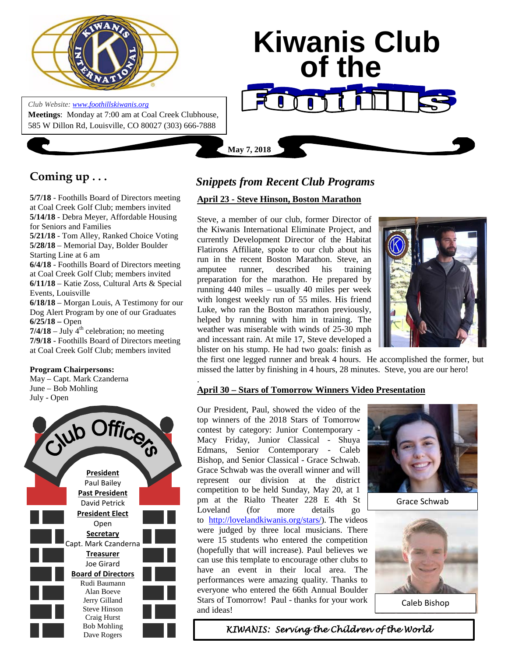

**Meetings**: Monday at 7:00 am at Coal Creek Clubhouse, 585 W Dillon Rd, Louisville, CO 80027 (303) 666-7888

*Club Website[: www.foothillskiwanis.org](file:///C:\Users\Bob\AppData\Local\Microsoft\Windows\Temporary%20Internet%20Files\Bob\AppData\Local\Microsoft\Users\Users\Bob\AppData\Local\Microsoft\Users\Bob\AppData\Local\Microsoft\Users\Bob\AppData\Local\Microsoft\Users\Bob\AppData\Local\Microsoft\Users\Bob\AppData\Local\Microsoft\Documents%20and%20Settings\Users\Bob\AppData\Local\Microsoft\Windows\Temporary%20Internet%20Files\AppData\Local\Microsoft\Windows\Temporary%20Internet%20Files\AppData\Local\Microsoft\Documents%20and%20Settings\Kerry%20Hassler\Users\Hugh\AppData\AppData\Local\Microsoft\Documents%20and%20Settings\AppData\Local\Temp\www.foothillskiwanis.org)*

 **Kiwanis Club of the May 7, 2018**

# **Coming up . . .**

**5/7/18** - Foothills Board of Directors meeting at Coal Creek Golf Club; members invited **5/14/18** - Debra Meyer, Affordable Housing for Seniors and Families **5/21/18** - Tom Alley, Ranked Choice Voting **5/28/18** – Memorial Day, Bolder Boulder Starting Line at 6 am **6/4/18** - Foothills Board of Directors meeting at Coal Creek Golf Club; members invited **6/11/18** – Katie Zoss, Cultural Arts & Special Events, Louisville **6/18/18** – Morgan Louis, A Testimony for our Dog Alert Program by one of our Graduates **6/25/18 –** Open  $7/4/18$  – July  $4<sup>th</sup>$  celebration; no meeting **7/9/18** - Foothills Board of Directors meeting at Coal Creek Golf Club; members invited

#### **Program Chairpersons:**

May – Capt. Mark Czanderna June – Bob Mohling July - Open



## *Snippets from Recent Club Programs*

## **April 23 - Steve Hinson, Boston Marathon**

Steve, a member of our club, former Director of the Kiwanis International Eliminate Project, and currently Development Director of the Habitat Flatirons Affiliate, spoke to our club about his run in the recent Boston Marathon. Steve, an amputee runner, described his training preparation for the marathon. He prepared by running 440 miles – usually 40 miles per week with longest weekly run of 55 miles. His friend Luke, who ran the Boston marathon previously, helped by running with him in training. The weather was miserable with winds of 25-30 mph and incessant rain. At mile 17, Steve developed a blister on his stump. He had two goals: finish as



the first one legged runner and break 4 hours. He accomplished the former, but missed the latter by finishing in 4 hours, 28 minutes. Steve, you are our hero!

#### . **April 30 – Stars of Tomorrow Winners Video Presentation**

Our President, Paul, showed the video of the top winners of the 2018 Stars of Tomorrow contest by category: Junior Contemporary - Macy Friday, Junior Classical - Shuya Edmans, Senior Contemporary - Caleb Bishop, and Senior Classical - Grace Schwab. Grace Schwab was the overall winner and will represent our division at the district competition to be held Sunday, May 20, at 1 pm at the Rialto Theater 228 E 4th St Loveland (for more details go to [http://lovelandkiwanis.org/stars/\)](http://lovelandkiwanis.org/stars/). The videos were judged by three local musicians. There were 15 students who entered the competition (hopefully that will increase). Paul believes we can use this template to encourage other clubs to have an event in their local area. The performances were amazing quality. Thanks to everyone who entered the 66th Annual Boulder Stars of Tomorrow! Paul - thanks for your work and ideas!



[Grace Schwab](https://sites.google.com/site/boulderstarsoftomorrow/home/Grace Schwab Photo.jpg?attredirects=0)



[Caleb Bishop](https://sites.google.com/site/boulderstarsoftomorrow/home/CalebBishop.jpg?attredirects=0)

 *KIWANIS: Serving the Children of the World*